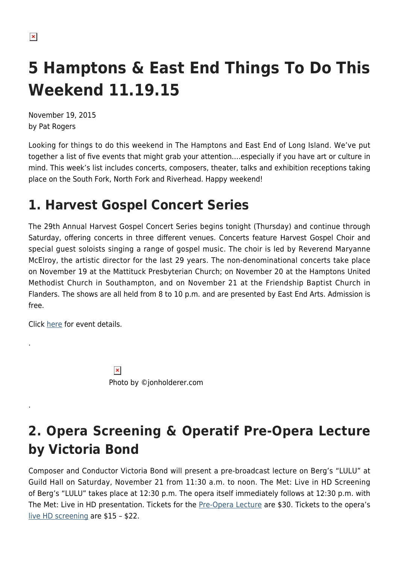# **5 Hamptons & East End Things To Do This Weekend 11.19.15**

November 19, 2015 by Pat Rogers

Looking for things to do this weekend in The Hamptons and East End of Long Island. We've put together a list of five events that might grab your attention….especially if you have art or culture in mind. This week's list includes concerts, composers, theater, talks and exhibition receptions taking place on the South Fork, North Fork and Riverhead. Happy weekend!

### **1. Harvest Gospel Concert Series**

The 29th Annual Harvest Gospel Concert Series begins tonight (Thursday) and continue through Saturday, offering concerts in three different venues. Concerts feature Harvest Gospel Choir and special guest soloists singing a range of gospel music. The choir is led by Reverend Maryanne McElroy, the artistic director for the last 29 years. The non-denominational concerts take place on November 19 at the Mattituck Presbyterian Church; on November 20 at the Hamptons United Methodist Church in Southampton, and on November 21 at the Friendship Baptist Church in Flanders. The shows are all held from 8 to 10 p.m. and are presented by East End Arts. Admission is free.

Click [here](http://www.eastendarts.org/programs/events/harvest-gospel.html) for event details.

.

.

 $\pmb{\times}$ Photo by ©jonholderer.com

## **2. Opera Screening & Operatif Pre-Opera Lecture by Victoria Bond**

Composer and Conductor Victoria Bond will present a pre-broadcast lecture on Berg's "LULU" at Guild Hall on Saturday, November 21 from 11:30 a.m. to noon. The Met: Live in HD Screening of Berg's "LULU" takes place at 12:30 p.m. The opera itself immediately follows at 12:30 p.m. with The Met: Live in HD presentation. Tickets for the [Pre-Opera Lecture](https://web.ovationtix.com/trs/pe/10020285) are \$30. Tickets to the opera's [live HD screening](http://www.guildhall.org/theater-2/the-met-live-in-hd/) are \$15 – \$22.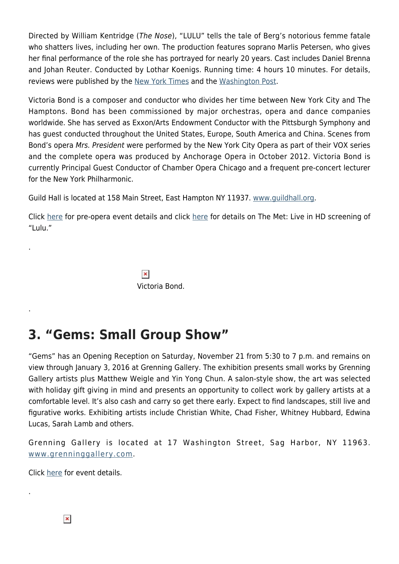Directed by William Kentridge (The Nose), "LULU" tells the tale of Berg's notorious femme fatale who shatters lives, including her own. The production features soprano Marlis Petersen, who gives her final performance of the role she has portrayed for nearly 20 years. Cast includes Daniel Brenna and Johan Reuter. Conducted by Lothar Koenigs. Running time: 4 hours 10 minutes. For details, reviews were published by the [New York Times](http://www.nytimes.com/2015/11/07/arts/music/metropolitan-opera-lulu-review.html?_r=0) and the [Washington Post](https://www.washingtonpost.com/news/style/wp/2015/11/06/powerful-lulu-brings-moving-pictures-to-met-opera/).

Victoria Bond is a composer and conductor who divides her time between New York City and The Hamptons. Bond has been commissioned by major orchestras, opera and dance companies worldwide. She has served as Exxon/Arts Endowment Conductor with the Pittsburgh Symphony and has guest conducted throughout the United States, Europe, South America and China. Scenes from Bond's opera Mrs. President were performed by the New York City Opera as part of their VOX series and the complete opera was produced by Anchorage Opera in October 2012. Victoria Bond is currently Principal Guest Conductor of Chamber Opera Chicago and a frequent pre-concert lecturer for the New York Philharmonic.

Guild Hall is located at 158 Main Street, East Hampton NY 11937. [www.guildhall.org](http://www.guildhall.org).

Click [here](http://www.guildhall.org/events/?id=814&mode=id) for pre-opera event details and click [here](http://www.guildhall.org/theater-2/the-met-live-in-hd/) for details on The Met: Live in HD screening of "Lulu."

> $\pmb{\times}$ Victoria Bond.

### **3. "Gems: Small Group Show"**

"Gems" has an Opening Reception on Saturday, November 21 from 5:30 to 7 p.m. and remains on view through January 3, 2016 at Grenning Gallery. The exhibition presents small works by Grenning Gallery artists plus Matthew Weigle and Yin Yong Chun. A salon-style show, the art was selected with holiday gift giving in mind and presents an opportunity to collect work by gallery artists at a comfortable level. It's also cash and carry so get there early. Expect to find landscapes, still live and figurative works. Exhibiting artists include Christian White, Chad Fisher, Whitney Hubbard, Edwina Lucas, Sarah Lamb and others.

Grenning Gallery is located at 17 Washington Street, Sag Harbor, NY 11963. [www.grenninggallery.com](http://www.grenninggallery.com/).

Click [here](http://www.grenninggallery.com/exhibitiondetail-38.php) for event details.

.

.

.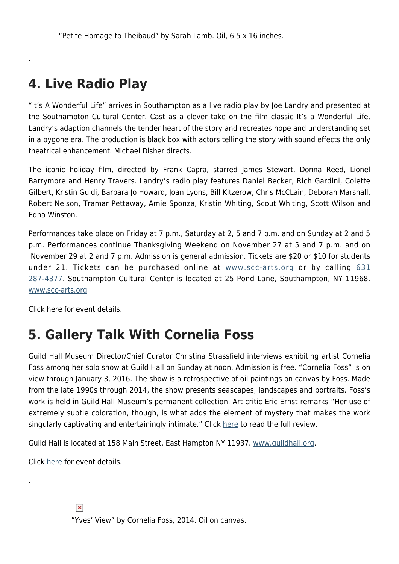### **4. Live Radio Play**

.

"It's A Wonderful Life" arrives in Southampton as a live radio play by Joe Landry and presented at the Southampton Cultural Center. Cast as a clever take on the film classic It's a Wonderful Life, Landry's adaption channels the tender heart of the story and recreates hope and understanding set in a bygone era. The production is black box with actors telling the story with sound effects the only theatrical enhancement. Michael Disher directs.

The iconic holiday film, directed by Frank Capra, starred James Stewart, Donna Reed, Lionel Barrymore and Henry Travers. Landry's radio play features Daniel Becker, Rich Gardini, Colette Gilbert, Kristin Guldi, Barbara Jo Howard, Joan Lyons, Bill Kitzerow, Chris McCLain, Deborah Marshall, Robert Nelson, Tramar Pettaway, Amie Sponza, Kristin Whiting, Scout Whiting, Scott Wilson and Edna Winston.

Performances take place on Friday at 7 p.m., Saturday at 2, 5 and 7 p.m. and on Sunday at 2 and 5 p.m. Performances continue Thanksgiving Weekend on November 27 at 5 and 7 p.m. and on November 29 at 2 and 7 p.m. Admission is general admission. Tickets are \$20 or \$10 for students under 21. Tickets can be purchased online at [www.scc-arts.org](http://www.scc-arts.org/) or by calling [631](#page--1-0) [287-4377](#page--1-0). Southampton Cultural Center is located at 25 Pond Lane, Southampton, NY 11968. [www.scc-arts.org](http://www.scc-arts.org/)

Click here for event details.

### **5. Gallery Talk With Cornelia Foss**

Guild Hall Museum Director/Chief Curator Christina Strassfield interviews exhibiting artist Cornelia Foss among her solo show at Guild Hall on Sunday at noon. Admission is free. "Cornelia Foss" is on view through January 3, 2016. The show is a retrospective of oil paintings on canvas by Foss. Made from the late 1990s through 2014, the show presents seascapes, landscapes and portraits. Foss's work is held in Guild Hall Museum's permanent collection. Art critic Eric Ernst remarks "Her use of extremely subtle coloration, though, is what adds the element of mystery that makes the work singularly captivating and entertainingly intimate." Click [here](https://hamptonsarthub.com/2015/11/11/a-sense-of-place-and-cornelia-foss-at-guild-hall-museum/) to read the full review.

Guild Hall is located at 158 Main Street, East Hampton NY 11937. [www.guildhall.org](http://www.guildhall.org).

Click [here](http://www.guildhall.org/events/?id=823&mode=id) for event details.

.